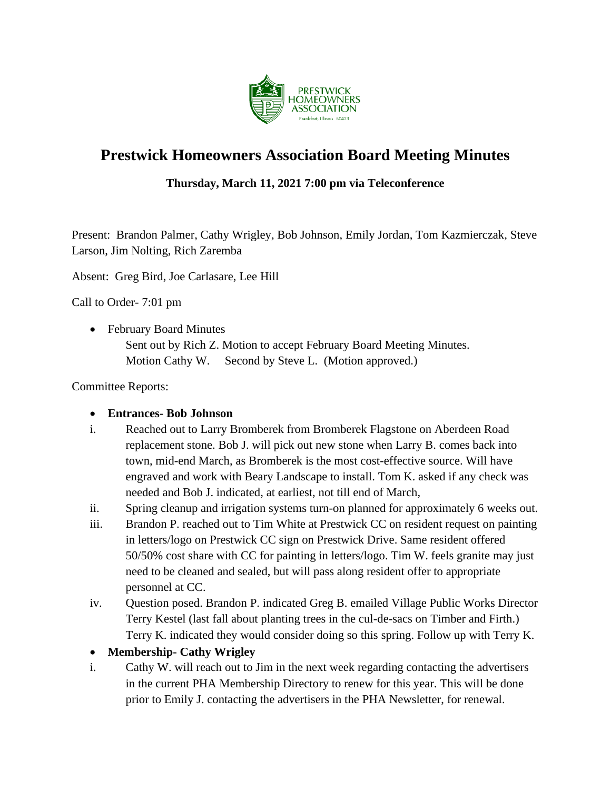

# **Prestwick Homeowners Association Board Meeting Minutes**

#### **Thursday, March 11, 2021 7:00 pm via Teleconference**

Present: Brandon Palmer, Cathy Wrigley, Bob Johnson, Emily Jordan, Tom Kazmierczak, Steve Larson, Jim Nolting, Rich Zaremba

Absent: Greg Bird, Joe Carlasare, Lee Hill

Call to Order- 7:01 pm

• February Board Minutes

Sent out by Rich Z. Motion to accept February Board Meeting Minutes. Motion Cathy W. Second by Steve L. (Motion approved.)

Committee Reports:

#### • **Entrances- Bob Johnson**

- i. Reached out to Larry Bromberek from Bromberek Flagstone on Aberdeen Road replacement stone. Bob J. will pick out new stone when Larry B. comes back into town, mid-end March, as Bromberek is the most cost-effective source. Will have engraved and work with Beary Landscape to install. Tom K. asked if any check was needed and Bob J. indicated, at earliest, not till end of March,
- ii. Spring cleanup and irrigation systems turn-on planned for approximately 6 weeks out.
- iii. Brandon P. reached out to Tim White at Prestwick CC on resident request on painting in letters/logo on Prestwick CC sign on Prestwick Drive. Same resident offered 50/50% cost share with CC for painting in letters/logo. Tim W. feels granite may just need to be cleaned and sealed, but will pass along resident offer to appropriate personnel at CC.
- iv. Question posed. Brandon P. indicated Greg B. emailed Village Public Works Director Terry Kestel (last fall about planting trees in the cul-de-sacs on Timber and Firth.) Terry K. indicated they would consider doing so this spring. Follow up with Terry K.
- **Membership- Cathy Wrigley**
- i. Cathy W. will reach out to Jim in the next week regarding contacting the advertisers in the current PHA Membership Directory to renew for this year. This will be done prior to Emily J. contacting the advertisers in the PHA Newsletter, for renewal.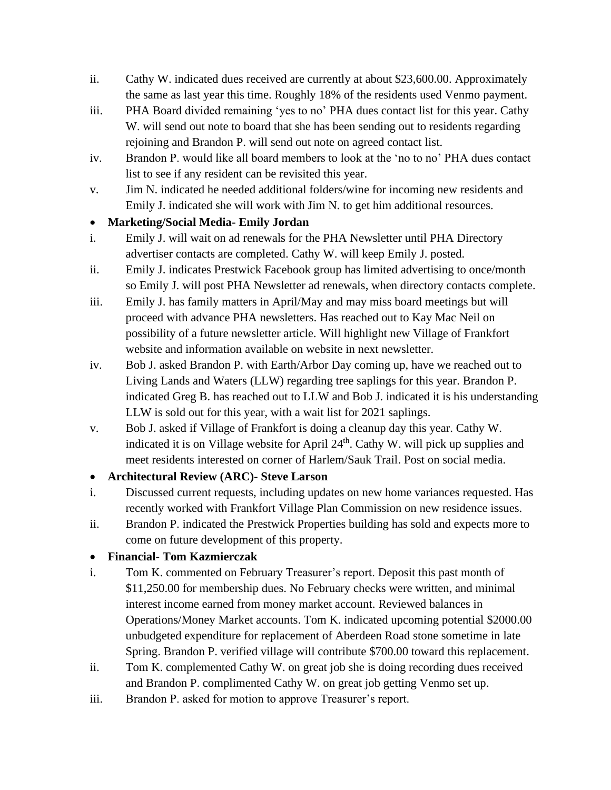- ii. Cathy W. indicated dues received are currently at about \$23,600.00. Approximately the same as last year this time. Roughly 18% of the residents used Venmo payment.
- iii. PHA Board divided remaining 'yes to no' PHA dues contact list for this year. Cathy W. will send out note to board that she has been sending out to residents regarding rejoining and Brandon P. will send out note on agreed contact list.
- iv. Brandon P. would like all board members to look at the 'no to no' PHA dues contact list to see if any resident can be revisited this year.
- v. Jim N. indicated he needed additional folders/wine for incoming new residents and Emily J. indicated she will work with Jim N. to get him additional resources.

### • **Marketing/Social Media- Emily Jordan**

- i. Emily J. will wait on ad renewals for the PHA Newsletter until PHA Directory advertiser contacts are completed. Cathy W. will keep Emily J. posted.
- ii. Emily J. indicates Prestwick Facebook group has limited advertising to once/month so Emily J. will post PHA Newsletter ad renewals, when directory contacts complete.
- iii. Emily J. has family matters in April/May and may miss board meetings but will proceed with advance PHA newsletters. Has reached out to Kay Mac Neil on possibility of a future newsletter article. Will highlight new Village of Frankfort website and information available on website in next newsletter.
- iv. Bob J. asked Brandon P. with Earth/Arbor Day coming up, have we reached out to Living Lands and Waters (LLW) regarding tree saplings for this year. Brandon P. indicated Greg B. has reached out to LLW and Bob J. indicated it is his understanding LLW is sold out for this year, with a wait list for 2021 saplings.
- v. Bob J. asked if Village of Frankfort is doing a cleanup day this year. Cathy W. indicated it is on Village website for April  $24<sup>th</sup>$ . Cathy W. will pick up supplies and meet residents interested on corner of Harlem/Sauk Trail. Post on social media.

## • **Architectural Review (ARC)- Steve Larson**

- i. Discussed current requests, including updates on new home variances requested. Has recently worked with Frankfort Village Plan Commission on new residence issues.
- ii. Brandon P. indicated the Prestwick Properties building has sold and expects more to come on future development of this property.

## • **Financial- Tom Kazmierczak**

- i. Tom K. commented on February Treasurer's report. Deposit this past month of \$11,250.00 for membership dues. No February checks were written, and minimal interest income earned from money market account. Reviewed balances in Operations/Money Market accounts. Tom K. indicated upcoming potential \$2000.00 unbudgeted expenditure for replacement of Aberdeen Road stone sometime in late Spring. Brandon P. verified village will contribute \$700.00 toward this replacement.
- ii. Tom K. complemented Cathy W. on great job she is doing recording dues received and Brandon P. complimented Cathy W. on great job getting Venmo set up.
- iii. Brandon P. asked for motion to approve Treasurer's report.